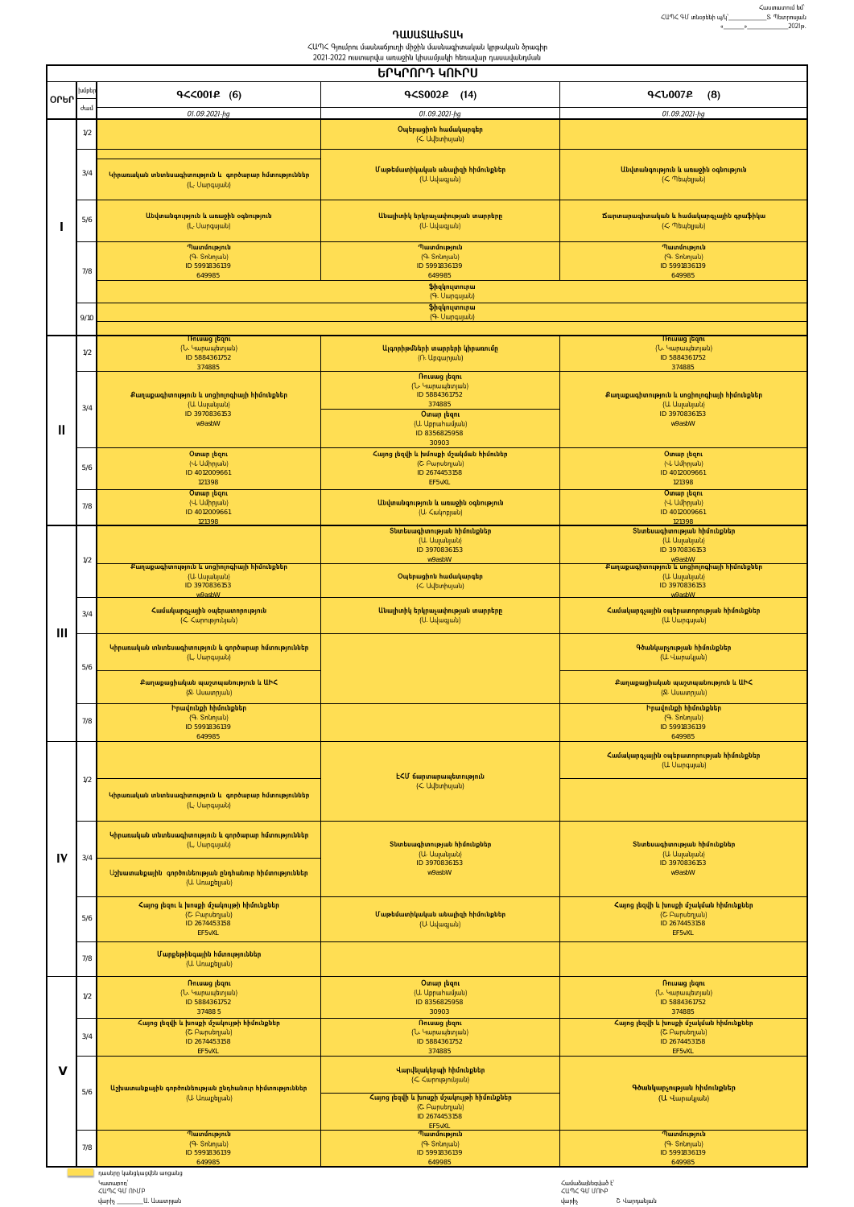## **ԴԱՍԱՏԱԽՏԱԿ**<br>ՀԱՊՀ Գյումրու մասնաճյուղի միջին մասնագիտական կրթական ծրագիր<br>2021-2022 ուստարվա առաջին կիսամյակի հեռավար դասավանդման

|        | <u>ԵՐԿՐՈՐԴ ԿՈՒՐՍ</u> |                                                                                        |                                                                                                                                                                   |                                                                                        |  |  |
|--------|----------------------|----------------------------------------------------------------------------------------|-------------------------------------------------------------------------------------------------------------------------------------------------------------------|----------------------------------------------------------------------------------------|--|--|
| OLPL   | խմբեր                | $9<$ <0014 (6)                                                                         | $9<$ SO02 $2$ (14)                                                                                                                                                | <b>4<l007£< b=""><br/>(8)</l007£<></b>                                                 |  |  |
|        | ժամ                  | 01.09.2021-hg                                                                          | 01.09.2021-hg                                                                                                                                                     | 01.09.2021-ha                                                                          |  |  |
|        | 1/2                  |                                                                                        | Օպերացիոն համակարգեր<br>( <uutunhujuuu)< th=""><th></th></uutunhujuuu)<>                                                                                          |                                                                                        |  |  |
|        | 3/4                  | Կիրառական տնտեսագիտություն և գործարար հմտություններ<br>(L. Uwnqujwu)                   | Մաթեմատիկական անալիզի հիմունքներ<br>(U. Uduajuù)                                                                                                                  | Անվտանգություն և առաջին օգնություն<br>(Հ. Պեպելյան)                                    |  |  |
|        | 5/6                  | Անվտանգություն և առաջին օգնություն<br>(L. Uwnqujuù)                                    | Անալիտիկ երկրաչափության տարրերը<br>(U. Uuuquuu)                                                                                                                   | Ճարտարագիտական և համակարգչային գրաֆիկա<br>(Հ. Պեպելյան)                                |  |  |
|        | 7/8                  | Պատմություն<br>(Գ. Snunjulu)<br>ID 5991836139<br>649985                                | Պատմություն<br>(Գ. Snunjuuu)<br>ID 5991836139<br>649985                                                                                                           | Պատմություն<br>(Գ. Snunjuuu)<br>ID 5991836139<br>649985                                |  |  |
|        |                      |                                                                                        | ֆիզկուլտուրա<br>(Գ. Սարգսյան)<br>ֆիզկուլտուրա                                                                                                                     |                                                                                        |  |  |
|        | 9/10                 | (Գ. Սարգսյան)                                                                          |                                                                                                                                                                   |                                                                                        |  |  |
| Ш      | 1/2                  | <b>Thiumg trant</b><br>(Ն. Կարապետյան)<br>ID 5884361752<br>374885                      | Ալգորիթմների տարրերի կիրառումը<br>(Ռ. Աբգարյան)                                                                                                                   | <b>Thiumg</b> than<br>(Ն. Կարապետյան)<br>ID 5884361752<br>374885                       |  |  |
|        | 3/4                  | Քաղաքագիտություն և սոցիոլոգիայի հիմունքներ<br>(Ա. Ասլանյան)<br>ID 3970836153<br>w9asbW | Ռուսաց լեզու<br>(Ն. Կարապետյան)<br>ID 5884361752<br>374885<br><b>O</b> mun լեզու<br>(U. Uppwhwújwù)<br>ID 8356825958                                              | Քաղաքագիտություն և սոցիոլոգիայի հիմունքներ<br>(U. Uupuuuu)<br>ID 3970836153<br>w9asbW  |  |  |
|        | 5/6                  | <b>O</b> unun լեզու<br>(Վ Ամիրյան)<br>ID 4012009661                                    | 30903<br>Հայոց լեզվի և խմոսքի մշակման հիմուներ<br>(Շ. Բարսեղյան)<br>ID 2674453158                                                                                 | <b>O</b> unup լեզու<br>(Վ Ամիրյան)<br>ID 4012009661                                    |  |  |
|        | 7/8                  | 121398<br><b>O</b> unun <sub>Ladni</sub><br>(Վ Ամիրյան)<br>ID 4012009661               | EF5vXL<br>Անվտանգություն և առաջին օգնություն<br>(U. < wynpjwu)                                                                                                    | 121398<br><b>O</b> unun լեզու<br>(Վ Ամիրյան)<br>ID 4012009661                          |  |  |
|        | 1/2                  | 121398                                                                                 | Տնտեսագիտության հիմունքներ<br>(Ա. Ասլանյան)<br>ID 3970836153<br>w9asbW                                                                                            | 121398<br>Տնտեսագիտության հիմունքներ<br>(Ա. Ասլանյան)<br>ID 3970836153<br>w9asbW       |  |  |
|        |                      | Քաղաքագիտություն և սոցիոլոգիայի հիմունքներ<br>(Ա. Ասլանյան)<br>ID 3970836153<br>w9ashW | Օպերացիոն համակարգեր<br>( <uutunhujuuu)< td=""><td>Քաղաքագիտություն և սոցիոլոգիայի հիմունքներ<br/>(Ա. Ասլանյան)<br/>ID 3970836153<br/>w9ashW</td></uutunhujuuu)<> | Քաղաքագիտություն և սոցիոլոգիայի հիմունքներ<br>(Ա. Ասլանյան)<br>ID 3970836153<br>w9ashW |  |  |
| Ш      | 3/4                  | Համակարգչային օպերատորություն                                                          | Անալիտիկ երկրաչափության տարրերը<br>(U. Uų wquuti)                                                                                                                 | Համակարգչային օպերատորության հիմունքներ<br>(U. Uwnqujwu)                               |  |  |
|        | 5/6                  | Կիրառական տնտեսագիտություն և գործարար հմտություններ<br>(L. Uwnqujwu)                   |                                                                                                                                                                   | Գծանկարչության հիմունքներ<br>(U. Վարակյան)                                             |  |  |
|        |                      | Քաղաքացիական պաշտպանություն և ԱԻՀ<br>(&. Uuwunpjwu)<br>Իրավունքի հիմունքներ            |                                                                                                                                                                   | Քաղաքացիական պաշտպանություն և ԱԻՀ<br>(R. Uuwunpjulu)<br>Իրավունքի հիմունքներ           |  |  |
|        | 7/8                  | (Գ. Տոնոյան)<br>ID 5991836139<br>649985                                                |                                                                                                                                                                   | (Գ. Snunjuuu)<br>ID 5991836139<br>649985                                               |  |  |
|        | 1/2                  |                                                                                        | E<Մ ճարտարապետություն                                                                                                                                             | Համակարգչային օպերատորության հիմունքներ<br>(U. Uwnqujwu)                               |  |  |
|        |                      | Կիրառական տնտեսագիտություն և գործարար հմտություններ<br>(L. Uwnqujwu)                   | ( <uutunhujuuu)< td=""><td></td></uutunhujuuu)<>                                                                                                                  |                                                                                        |  |  |
| IV     | 3/4                  | Կիրառական տնտեսագիտություն և գործարար հմտություններ<br>(L. Uwnqujwu)                   | Տնտեսագիտության հիմունքներ<br>(Ա. Ասլանյան)                                                                                                                       | Տնտեսագիտության հիմունքներ<br>(Ա. Ասլանյան)                                            |  |  |
|        |                      | Աշխատանքային գործունեության ընդհանուր հիմտություններ<br>(U. Unwphijuiti)               | ID 3970836153<br>w9asbW                                                                                                                                           | ID 3970836153<br>w9asbW                                                                |  |  |
|        | 5/6                  | Հայոց լեզու և խոսքի մշակույթի հիմունքներ<br>(C. Pարսեղյան)<br>ID 2674453158<br>EF5vXL  | Մաթեմատիկական անալիզի հիմունքներ<br>(U. Uduajuù)                                                                                                                  | Հայոց լեզվի և խոսքի մշակման հիմունքներ<br>(Շ. Բարսեղյան)<br>ID 2674453158<br>EF5vXL    |  |  |
|        | 7/8                  | Մարքեթինգային հմտություններ<br>(Ա Unwphywu)                                            |                                                                                                                                                                   |                                                                                        |  |  |
|        | 1/2                  | Ռուսաց լեզու<br>(Ն. Կարապետյան)<br>ID 5884361752<br>374885                             | <b>O</b> unun լեզու<br>(U. Uppuhuujuuu)<br>ID 8356825958<br>30903                                                                                                 | Ռուսաց լեզու<br>(Ն. Կարապետյան)<br>ID 5884361752<br>374885                             |  |  |
|        | 3/4                  | Հայոց լեզվի և խոսքի մշակույթի հիմունքներ<br>(Շ. Բարսեղյան)<br>ID 2674453158<br>EF5vXL  | <b>Ռուսաց լեզու</b><br>(Ն. Կարապետյան)<br>ID 5884361752<br>374885                                                                                                 | Հայոց լեզվի և խոսքի մշակման հիմունքներ<br>(Շ. Բարսեղյան)<br>ID 2674453158<br>EF5vXL    |  |  |
| $\vee$ | 5/6                  | Աշխատանքային գործունեության ընդհանուր հիմտություններ<br>(U. Unwphywu)                  | Վարվելակերպի հիմունքներ<br>(<< < uphpyniumu)                                                                                                                      | Գծանկարչության հիմունքներ                                                              |  |  |
|        |                      |                                                                                        | Հայոց լեզվի և խոսքի մշակույթի հիմունքներ<br>(Շ. Բարսեղյան)<br>ID 2674453158                                                                                       | (Ա. Վարակյան)                                                                          |  |  |
|        | 7/8                  | Պատմություն<br>(9. Snunjulu)<br>ID 5991836139                                          | EF5vXL<br>Պատմություն<br>(Գ. Snunjulu)<br>ID 5991836139                                                                                                           | Պատմություն<br>(Գ. Snunjuuu)<br>ID 5991836139                                          |  |  |
|        |                      | 649985<br>դասերը կանցկացվեն առցանց                                                     | 649985                                                                                                                                                            | 649985                                                                                 |  |  |

Համաձայնեցված է՝<br>ՀԱՊՀ ԳՄ ՄՈՒԲ<br>վարիչ Շ. Վարդանյան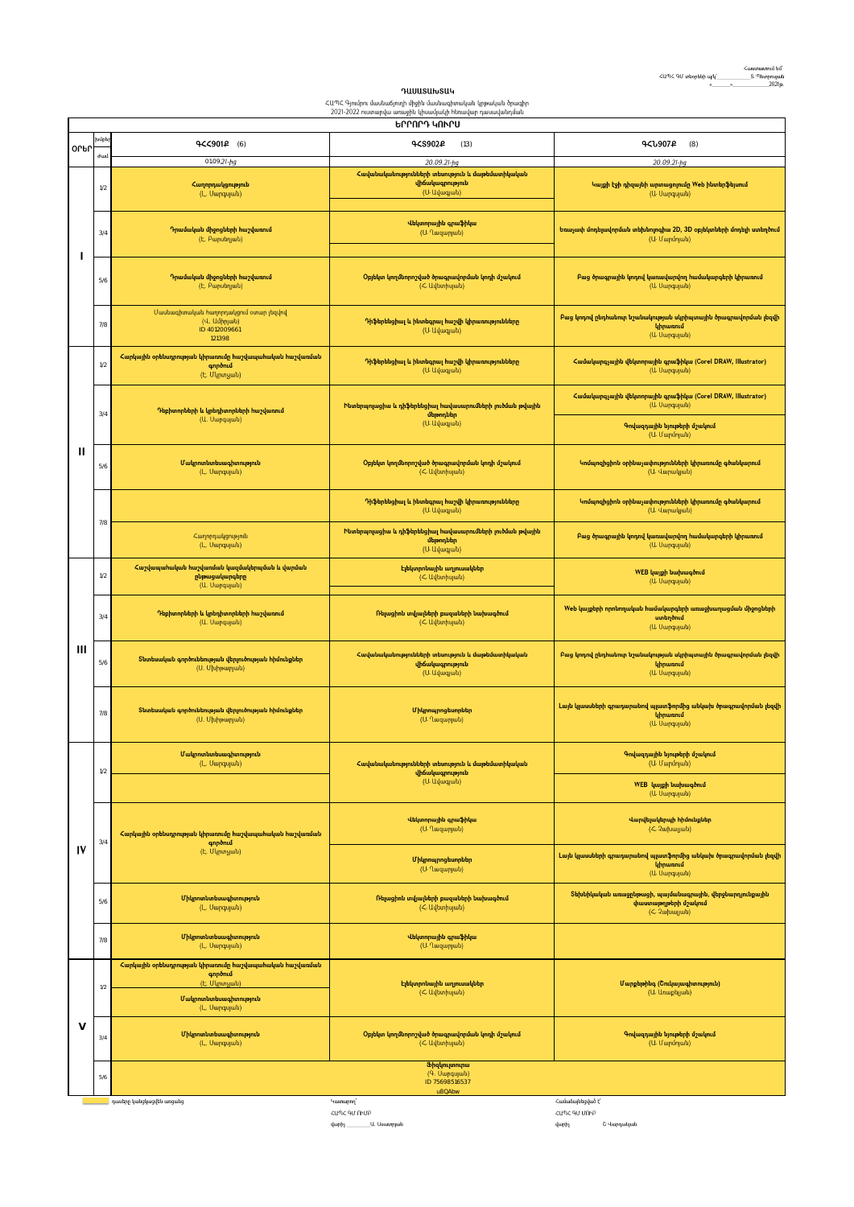## **ԴԱՍԱՏԱԽՏԱԿ** - **ՀԱՄԱՐԻ ԲԱՆԱՅԱՆՅԱ**<br>ՀԱՊՀ Գյումրու մասնաճյուղի միջին մասնագիտական կրթական ծրագիր<br>2021-2022 ուստարվա առաջին կիսամյակի հեռավար դասավանդման

|             | ԵՐՐՈՐԴ ԿՈՒՐՍ                                           |                                                                                     |                                                                                                                                                                      |                                                                                                    |  |  |
|-------------|--------------------------------------------------------|-------------------------------------------------------------------------------------|----------------------------------------------------------------------------------------------------------------------------------------------------------------------|----------------------------------------------------------------------------------------------------|--|--|
|             | խմբե                                                   | <b>9&lt;&lt;901£</b> (6)                                                            | 9CS902P<br>(13)                                                                                                                                                      | <b>4&lt;1907P</b><br>(8)                                                                           |  |  |
| <b>OLPU</b> | duul                                                   | 01.09.21-hg                                                                         | 20.09.21-hg                                                                                                                                                          | 20.09.21-hg                                                                                        |  |  |
| ı           | 1/2                                                    | Հաղորդակցություն<br>(L. Uարգսյան)                                                   | Հավանականությունների տեսություն և մաթեմատիկական<br>վիճակագրություն<br>(U. Uվագյան)                                                                                   | Կայքի էջի դիզայնի արտացոլումը Web ինտերֆեյսում<br>(U. Uwpqujwu)                                    |  |  |
|             | 3/4                                                    | Դրամական միջոցների հաշվառում<br>(Է. Բարսեղյան)                                      | Վեկտորային գրաֆիկա<br>(U. Ղազարյան)                                                                                                                                  | Եռաչափ մոդելավորման տեխնոլոգիա 2D, 3D օբյեկտների մոդելի ստեղծում<br>(U. Մարմոյան)                  |  |  |
|             | 5/6                                                    | Դրամական միջոցների հաշվառում<br>(Է. Բարսեղյան)                                      | Օբյեկտ կողմնորոշված ծրագրավորման կոդի մշակում<br>(< Uuunhujuuu)                                                                                                      | Բաց ծրագրային կոդով կառավարվող համակարգերի կիրառում<br>(U. Uwpqujwu)                               |  |  |
|             | 7/8                                                    | Մասնագիտական հաղորդակցում օտար լեզվով<br>(Վ. Ամիրյան)<br>ID 4012009661<br>121398    | Դիֆերենցիալ և ինտեգրալ հաշվի կիրառությունները<br>(U. Uվագյան)                                                                                                        | Բաց կոդով ընդհանուր նշանակության սկրիպտային ծրագրավորման լեզվի<br>կիրառում<br>(U. Uwpqujwu)        |  |  |
|             | 1/2                                                    | Հարկային օրենսդրության կիրառումը հաշվապահական հաշվառման<br>գործում<br>(Է. Մկրտչյան) | Դիֆերենցիալ և ինտեգրալ հաշվի կիրառությունները<br>(U. Uվագյան)                                                                                                        | Համակարգչային վեկտորային գրաֆիկա (Corel DRAW, Illustrator)<br>(Ա Սարգսյան)                         |  |  |
|             | 3/4                                                    | Դեբիտորների և կրեդիտորների հաշվառում<br>(U. Uwpqujwu)                               | Ինտերպոլացիա և դիֆերենցիալ հավասարումների լուծման թվային<br>մեթոդներ<br>(U. Uuuquuti)                                                                                | Համակարգչային վեկտորային գրաֆիկա (Corel DRAW, Illustrator)<br>(Ա Սարգսյան)                         |  |  |
|             |                                                        |                                                                                     |                                                                                                                                                                      | Գովազդային նյութերի մշակում<br>(Ա. Մարմոյան)                                                       |  |  |
| Ш           | 5/6                                                    | Մակրոտնտեսագիտություն<br>(L. Uwnqujwu)                                              | Օբյեկտ կողմնորոշված ծրագրավորման կոդի մշակում<br>( <uuunhujuuu)< td=""><td>Կոմպոզիցիոն օրինաչափությունների կիրառումը գծանկարում<br/>(Ա Վարակյան)</td></uuunhujuuu)<> | Կոմպոզիցիոն օրինաչափությունների կիրառումը գծանկարում<br>(Ա Վարակյան)                               |  |  |
|             | 7/8                                                    |                                                                                     | Դիֆերենցիալ և ինտեգրալ հաշվի կիրառությունները<br>(U. Uվագյան)                                                                                                        | Կոմպոզիցիոն օրինաչափությունների կիրառումը գծանկարում<br>(Ա Վարակյան)                               |  |  |
|             |                                                        | Հաղորդակցություն<br>(L. Uwnqujwu)                                                   | Ինտերպոլացիա և դիֆերենցիալ հավասարումների լուծման թվային<br>մեթոդներ<br>(U. Udwquuti)                                                                                | Բաց ծրագրային կոդով կառավարվող համակարգերի կիրառում<br>(U. Uwnqujwu)                               |  |  |
|             | 1/2                                                    | Հաշվապահական հաշվառման կազմակերպման և վարման<br>ընթացակարգերը<br>(U. Uwpqujwu)      | Էլեկտրոնային աղյուսակներ<br>(< Uuunhujuuu)                                                                                                                           | WEB կայքի նախագծում<br>(U. Uwpqujwu)                                                               |  |  |
| Ш           | 3/4                                                    | Դեբիտորների և կրեդիտորների հաշվառում<br>(U. Uwpqujwu)                               | Ռելացիոն տվյալների բազաների նախագծում<br>(< Uuunhujuuu)                                                                                                              | Web կայքերի որոնողական համակարգերի առաջխաղացման միջոցների<br>ստեղծում<br>(U. Uwpqujwu)             |  |  |
|             | 5/6                                                    | Տնտեսական գործունեության վերլուծության հիմունքներ<br>(U. Uuhpunjuuu)                | Հավանականությունների տեսություն և մաթեմատիկական<br>վիճակագրություն<br>(U. Udwquuu)                                                                                   | Բաց կոդով ընդհանուր նշանակության սկրիպտային ծրագրավորման լեզվի<br>կիրառում<br>(U. Uwpqujwu)        |  |  |
|             | 7/8                                                    | Տնտեսական գործունեության վերլուծության հիմունքներ<br>(U. Uuhpunjuu)                 | Միկրոպրոցեսորներ<br>(U. Ղազարյան)                                                                                                                                    | Լայն կլասսների գրադարանով պլատֆորմից անկախ ծրագրավորման լեզվի<br>կիրառում<br>(U. Uwpqujwu)         |  |  |
|             | 1/2                                                    | Մակրոտնտեսագիտություն<br>(L. Uwnqujwu)                                              | Հավանականությունների տեսություն և մաթեմատիկական<br>վիճակագրություն<br>(U. Uվագյան)                                                                                   | Գովազդային նյութերի մշակում<br>(Ա. Մարմոյան)                                                       |  |  |
|             |                                                        |                                                                                     |                                                                                                                                                                      | WEB կայքի նախագծում<br>(U. Uwpqujwu)                                                               |  |  |
|             | 3/4                                                    | Հարկային օրենսդրության կիրառումը հաշվապահական հաշվառման<br>գործում<br>(Է. Մկրտչյան) | Վեկտորային գրաֆիկա<br>(U. Ղազարյան)                                                                                                                                  | Վարվելակերպի հիմունքներ<br>(<. 2whwywu)                                                            |  |  |
| IV          |                                                        |                                                                                     | Միկրոպրոցեսորներ<br>(U. Ղազարյան)                                                                                                                                    | Լայն կլասսների գրադարանով պլատֆորմից անկախ ծրագրավորման լեզվի<br>կիրառում<br>(U. Uwpqujwu)         |  |  |
|             | 5/6                                                    | Միկրոտնտեսագիտություն<br>(L. Uwpqujwu)                                              | Ռելացիոն տվյալների բազաների նախագծում<br>(< Uubunhujuuu)                                                                                                             | Տեխնիկական առաջընթացի, պայմանագրային, վերջնարդյունքային<br>փաստաթղթերի մշակում<br>(<<br>2upuupuut) |  |  |
|             | $7/8$                                                  | Միկրոտնտեսագիտություն<br>(L. Uwpqujwu)                                              | Վեկտորային գրաֆիկա<br>(U. Ղազարյան)                                                                                                                                  |                                                                                                    |  |  |
| $\vee$      | 1/2                                                    | Հարկային օրենսդրության կիրառումը հաշվապահական հաշվառման<br>գործում<br>(Է. Մկրտչյան) | Էլեկտրոնային աղյուսակներ                                                                                                                                             | Մարքեթինգ (Շուկայագիտություն)                                                                      |  |  |
|             |                                                        | Մակրոտնտեսագիտություն<br>(L. Uwnqujwu)                                              | (< Uuunhujuuu)                                                                                                                                                       | (U. Unwphywu)                                                                                      |  |  |
|             | 3/4                                                    | Միկրոտնտեսագիտություն<br>(L. Uwnqujwu)                                              | Օբյեկտ կողմնորոշված ծրագրավորման կոդի մշակում<br>( <uuunhujuuu)< td=""><td>Գովազդային նյութերի մշակում<br/>(Ա. Մարմոյան)</td></uuunhujuuu)<>                         | Գովազդային նյութերի մշակում<br>(Ա. Մարմոյան)                                                       |  |  |
|             | Ֆիզկուլտուրա<br>(Գ. Սարգսյան)<br>5/6<br>ID 75698516537 |                                                                                     |                                                                                                                                                                      |                                                                                                    |  |  |
|             |                                                        | դասերը կանցկացվեն առցանց                                                            | u8QAbw<br><sup>4</sup> ιωνουρης                                                                                                                                      | Համաձայնեցված է՝                                                                                   |  |  |

 $<$ un $<$  90 nnup ւտ 19 հ.թ. որը։<br>- Ասատրյան ․